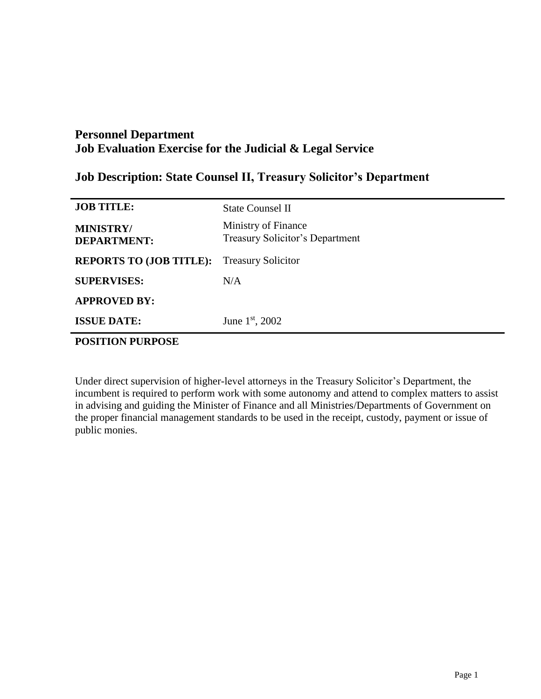## **Job Description: State Counsel II, Treasury Solicitor's Department**

| <b>JOB TITLE:</b>                      | <b>State Counsel II</b>                                       |
|----------------------------------------|---------------------------------------------------------------|
| <b>MINISTRY/</b><br><b>DEPARTMENT:</b> | Ministry of Finance<br><b>Treasury Solicitor's Department</b> |
| <b>REPORTS TO (JOB TITLE):</b>         | <b>Treasury Solicitor</b>                                     |
| <b>SUPERVISES:</b>                     | N/A                                                           |
| <b>APPROVED BY:</b>                    |                                                               |
| <b>ISSUE DATE:</b>                     | June $1st$ , 2002                                             |

# **POSITION PURPOSE**

Under direct supervision of higher-level attorneys in the Treasury Solicitor's Department, the incumbent is required to perform work with some autonomy and attend to complex matters to assist in advising and guiding the Minister of Finance and all Ministries/Departments of Government on the proper financial management standards to be used in the receipt, custody, payment or issue of public monies.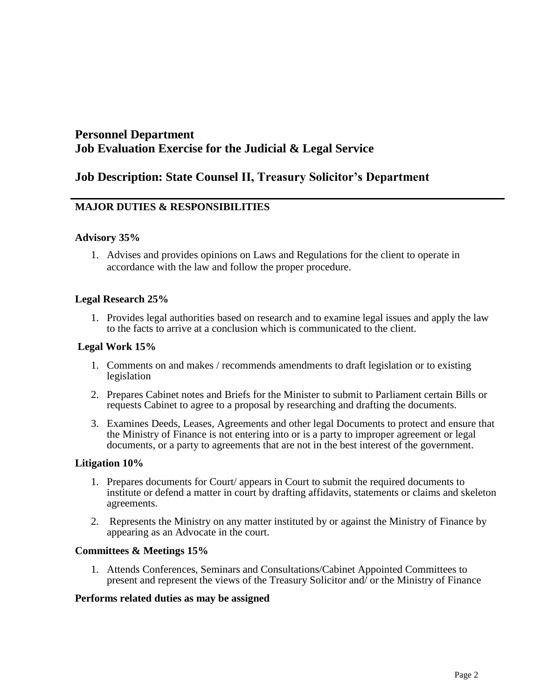## **Job Description: State Counsel II, Treasury Solicitor's Department**

### **MAJOR DUTIES & RESPONSIBILITIES**

#### **Advisory 35%**

1. Advises and provides opinions on Laws and Regulations for the client to operate in accordance with the law and follow the proper procedure.

#### **Legal Research 25%**

1. Provides legal authorities based on research and to examine legal issues and apply the law to the facts to arrive at a conclusion which is communicated to the client.

#### **Legal Work 15%**

- 1. Comments on and makes / recommends amendments to draft legislation or to existing legislation
- 2. Prepares Cabinet notes and Briefs for the Minister to submit to Parliament certain Bills or requests Cabinet to agree to a proposal by researching and drafting the documents.
- 3. Examines Deeds, Leases, Agreements and other legal Documents to protect and ensure that the Ministry of Finance is not entering into or is a party to improper agreement or legal documents, or a party to agreements that are not in the best interest of the government.

#### **Litigation 10%**

- 1. Prepares documents for Court/ appears in Court to submit the required documents to institute or defend a matter in court by drafting affidavits, statements or claims and skeleton agreements.
- 2. Represents the Ministry on any matter instituted by or against the Ministry of Finance by appearing as an Advocate in the court.

#### **Committees & Meetings 15%**

1. Attends Conferences, Seminars and Consultations/Cabinet Appointed Committees to present and represent the views of the Treasury Solicitor and/ or the Ministry of Finance

#### **Performs related duties as may be assigned**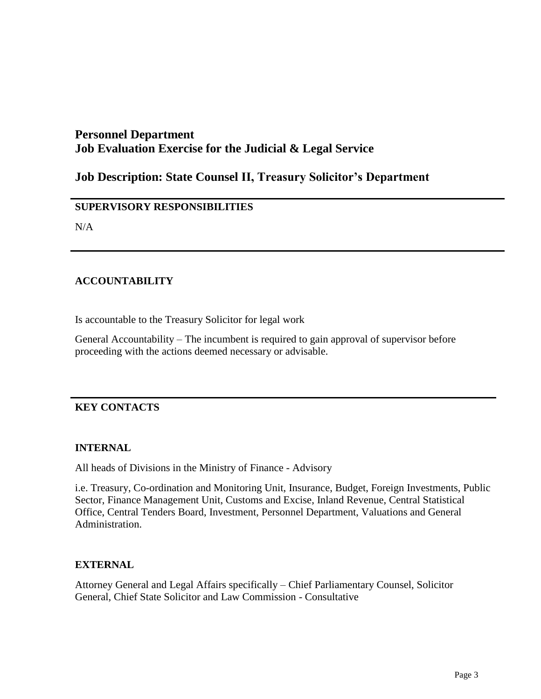# **Job Description: State Counsel II, Treasury Solicitor's Department**

### **SUPERVISORY RESPONSIBILITIES**

N/A

### **ACCOUNTABILITY**

Is accountable to the Treasury Solicitor for legal work

General Accountability – The incumbent is required to gain approval of supervisor before proceeding with the actions deemed necessary or advisable.

### **KEY CONTACTS**

### **INTERNAL**

All heads of Divisions in the Ministry of Finance - Advisory

i.e. Treasury, Co-ordination and Monitoring Unit, Insurance, Budget, Foreign Investments, Public Sector, Finance Management Unit, Customs and Excise, Inland Revenue, Central Statistical Office, Central Tenders Board, Investment, Personnel Department, Valuations and General Administration.

### **EXTERNAL**

Attorney General and Legal Affairs specifically – Chief Parliamentary Counsel, Solicitor General, Chief State Solicitor and Law Commission - Consultative